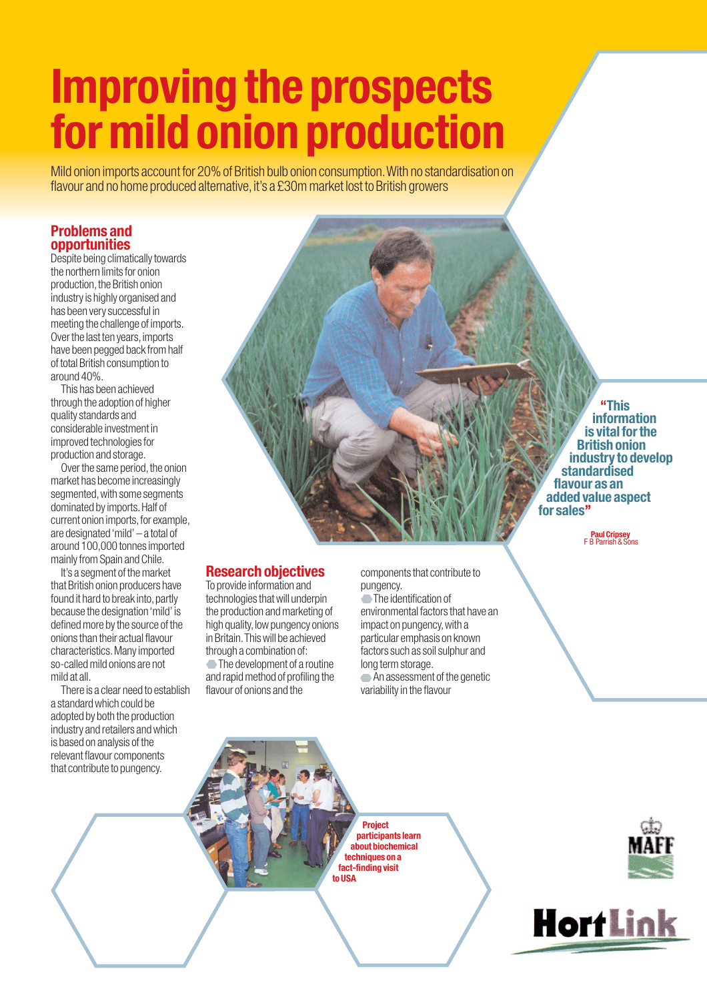# **Improving the prospects for mild onion production**

Mild onion imports account for 20% of British bulb onion consumption.With no standardisation on flavour and no home produced alternative, it's a £30m market lost to British growers

# **Problems and opportunities**

Despite being climatically towards the northern limits for onion production, the British onion industry is highly organised and has been very successful in meeting the challenge of imports. Over the last ten years, imports have been pegged back from half of total British consumption to around 40%.

This has been achieved through the adoption of higher quality standards and considerable investment in improved technologies for production and storage.

Over the same period, the onion market has become increasingly segmented, with some segments dominated by imports.Half of current onion imports, for example, are designated 'mild' – a total of around 100,000 tonnes imported mainly from Spain and Chile.

It's a segment of the market that British onion producers have found it hard to break into, partly because the designation 'mild' is defined more by the source of the onions than their actual flavour characteristics.Many imported so-called mild onions are not mild at all.

There is a clear need to establish a standard which could be adopted by both the production industry and retailers and which is based on analysis of the relevant flavour components that contribute to pungency.

**Research objectives**

To provide information and technologies that will underpin the production and marketing of high quality, low pungency onions in Britain.This will be achieved through a combination of:

The development of a routine and rapid method of profiling the flavour of onions and the

components that contribute to pungency.  $\overline{\phantom{a}}$  The identification of environmental factors that have an impact on pungency, with a particular emphasis on known factors such as soil sulphur and long term storage. An assessment of the genetic variability in the flavour

**"This information is vital for the British onion industry to develop standardised flavour as an added value aspect for sales''**

**Paul Cripsey**<br>**F B Parrish & Sons** 

**Project participants learn about biochemical techniques on a fact-finding visit to USA**